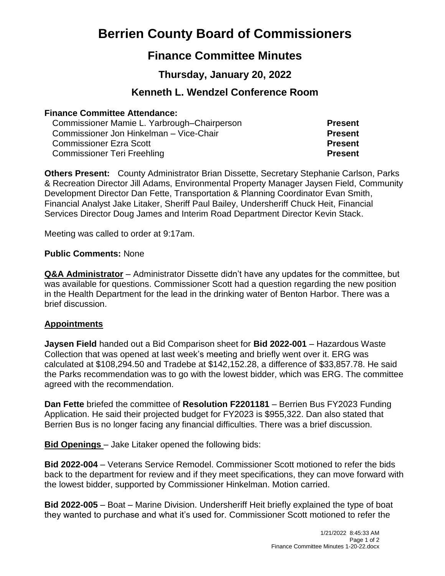# **Berrien County Board of Commissioners**

## **Finance Committee Minutes**

## **Thursday, January 20, 2022**

### **Kenneth L. Wendzel Conference Room**

#### **Finance Committee Attendance:**

Commissioner Mamie L. Yarbrough–Chairperson **Present** Commissioner Jon Hinkelman – Vice-Chair **Present** Commissioner Ezra Scott **Present** Commissioner Teri Freehling **Present**

**Others Present:** County Administrator Brian Dissette, Secretary Stephanie Carlson, Parks & Recreation Director Jill Adams, Environmental Property Manager Jaysen Field, Community Development Director Dan Fette, Transportation & Planning Coordinator Evan Smith, Financial Analyst Jake Litaker, Sheriff Paul Bailey, Undersheriff Chuck Heit, Financial Services Director Doug James and Interim Road Department Director Kevin Stack.

Meeting was called to order at 9:17am.

#### **Public Comments:** None

**Q&A Administrator** – Administrator Dissette didn't have any updates for the committee, but was available for questions. Commissioner Scott had a question regarding the new position in the Health Department for the lead in the drinking water of Benton Harbor. There was a brief discussion.

#### **Appointments**

**Jaysen Field** handed out a Bid Comparison sheet for **Bid 2022-001** – Hazardous Waste Collection that was opened at last week's meeting and briefly went over it. ERG was calculated at \$108,294.50 and Tradebe at \$142,152.28, a difference of \$33,857.78. He said the Parks recommendation was to go with the lowest bidder, which was ERG. The committee agreed with the recommendation.

**Dan Fette** briefed the committee of **Resolution F2201181** – Berrien Bus FY2023 Funding Application. He said their projected budget for FY2023 is \$955,322. Dan also stated that Berrien Bus is no longer facing any financial difficulties. There was a brief discussion.

**Bid Openings** – Jake Litaker opened the following bids:

**Bid 2022-004** – Veterans Service Remodel. Commissioner Scott motioned to refer the bids back to the department for review and if they meet specifications, they can move forward with the lowest bidder, supported by Commissioner Hinkelman. Motion carried.

**Bid 2022-005** – Boat – Marine Division. Undersheriff Heit briefly explained the type of boat they wanted to purchase and what it's used for. Commissioner Scott motioned to refer the